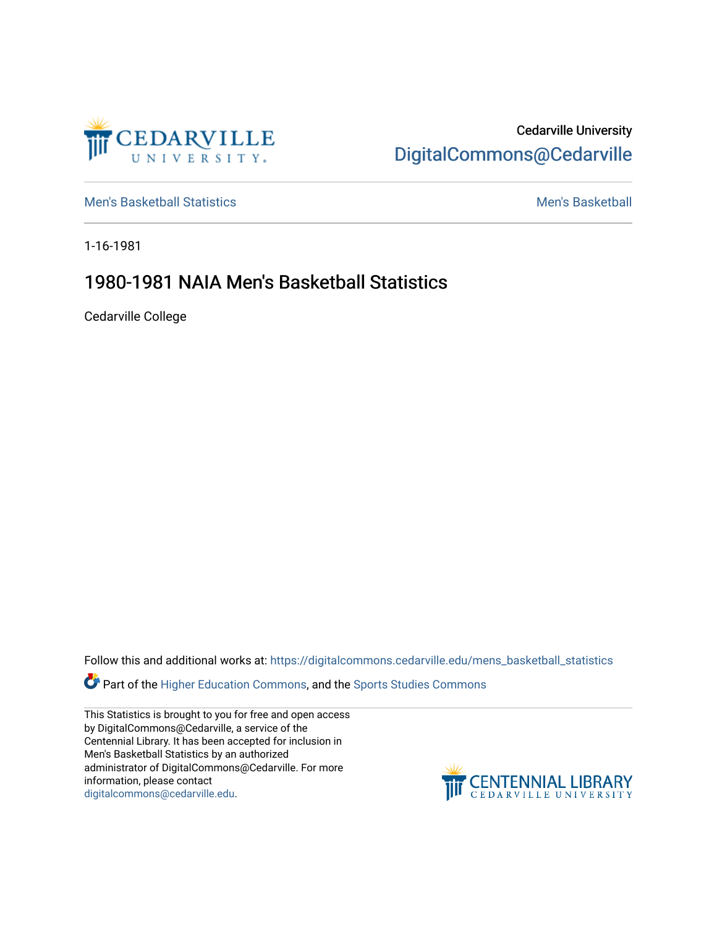

Cedarville University [DigitalCommons@Cedarville](https://digitalcommons.cedarville.edu/) 

[Men's Basketball Statistics](https://digitalcommons.cedarville.edu/mens_basketball_statistics) [Men's Basketball](https://digitalcommons.cedarville.edu/mens_basketball) 

1-16-1981

## 1980-1981 NAIA Men's Basketball Statistics

Cedarville College

Follow this and additional works at: [https://digitalcommons.cedarville.edu/mens\\_basketball\\_statistics](https://digitalcommons.cedarville.edu/mens_basketball_statistics?utm_source=digitalcommons.cedarville.edu%2Fmens_basketball_statistics%2F389&utm_medium=PDF&utm_campaign=PDFCoverPages) 

Part of the [Higher Education Commons,](http://network.bepress.com/hgg/discipline/1245?utm_source=digitalcommons.cedarville.edu%2Fmens_basketball_statistics%2F389&utm_medium=PDF&utm_campaign=PDFCoverPages) and the Sports Studies Commons

This Statistics is brought to you for free and open access by DigitalCommons@Cedarville, a service of the Centennial Library. It has been accepted for inclusion in Men's Basketball Statistics by an authorized administrator of DigitalCommons@Cedarville. For more information, please contact [digitalcommons@cedarville.edu](mailto:digitalcommons@cedarville.edu).

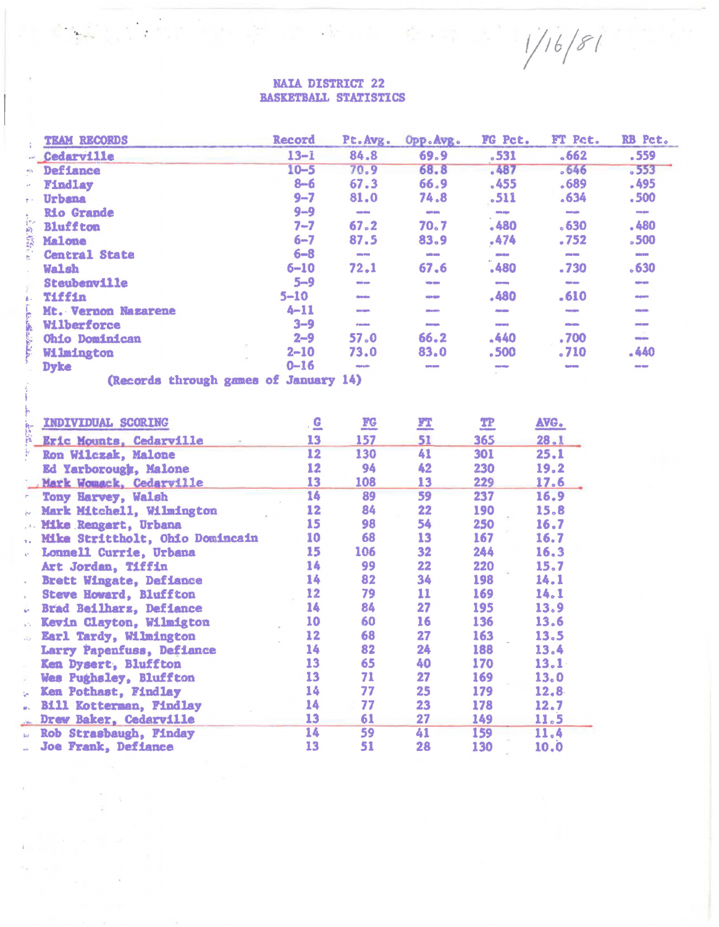## **NAIA DISTRICT 22** BASKETBALL STATISTICS

| $13 - 1$<br>84.8<br>69.9<br>.531<br>.662<br>.559<br>- Cedarville<br>.487<br>68.8<br>$-553$<br>$10 - 5$<br>70.9<br>.646<br>Defiance<br>$\mathbf{a}$<br>$8 - 6$<br>67.3<br>66.9<br>.455<br>.495<br>.689<br>Findlay<br>81.0<br>74.8<br>.500<br>$9 - 7$<br>.511<br>$-634$<br>Urbana<br>$9 - 9$<br><b>Rio Grande</b><br><b>CONTROL</b><br>comp delyer<br><b>CIRCO</b><br><b>Contractor</b><br>casteries<br>.480<br>67.2<br>.480<br>.630<br>$7 - 7$<br>70.7<br><b>Bluffton</b><br>$6 - 7$<br>.474<br>87.5<br>83.9<br>.752<br>500<br>Malone<br>$6 - 8$<br><b>Central State</b><br><b>CONSTRUCTION</b><br><b>CONTRACTOR</b><br><b>COMPANY</b><br><b>DOM WHO</b><br><b>COMPANY</b><br>67.6<br>.630<br>72.1<br>.480<br>$6 - 10$<br>.730<br>Walsh<br>$5 - 9$<br>Steubenville<br><b>Street Mark</b><br>days stars<br><b>Caller Groß</b><br><b>CRAIG GALAX</b><br><b>CONTRACTOR</b><br>.480<br>.610<br>$5 - 10$<br><b>Tiffin</b><br><b>Contractor</b><br><b>Grovina</b><br><b>COMPOS</b><br>$4 - 11$<br>Mt. Vernon Nazarene<br><b>CONSTRUCTS</b><br><b>COLORED IN</b><br><b>Colorador</b><br><b>COMPO</b><br><b>Company</b> | <b>TEAM RECORDS</b> | Record  | Pt.Avg. | Opp. Avg. | FG Pct. | FT Pct.  | RB Pct. |
|----------------------------------------------------------------------------------------------------------------------------------------------------------------------------------------------------------------------------------------------------------------------------------------------------------------------------------------------------------------------------------------------------------------------------------------------------------------------------------------------------------------------------------------------------------------------------------------------------------------------------------------------------------------------------------------------------------------------------------------------------------------------------------------------------------------------------------------------------------------------------------------------------------------------------------------------------------------------------------------------------------------------------------------------------------------------------------------------------------------|---------------------|---------|---------|-----------|---------|----------|---------|
|                                                                                                                                                                                                                                                                                                                                                                                                                                                                                                                                                                                                                                                                                                                                                                                                                                                                                                                                                                                                                                                                                                                |                     |         |         |           |         |          |         |
|                                                                                                                                                                                                                                                                                                                                                                                                                                                                                                                                                                                                                                                                                                                                                                                                                                                                                                                                                                                                                                                                                                                |                     |         |         |           |         |          |         |
|                                                                                                                                                                                                                                                                                                                                                                                                                                                                                                                                                                                                                                                                                                                                                                                                                                                                                                                                                                                                                                                                                                                |                     |         |         |           |         |          |         |
|                                                                                                                                                                                                                                                                                                                                                                                                                                                                                                                                                                                                                                                                                                                                                                                                                                                                                                                                                                                                                                                                                                                |                     |         |         |           |         |          |         |
|                                                                                                                                                                                                                                                                                                                                                                                                                                                                                                                                                                                                                                                                                                                                                                                                                                                                                                                                                                                                                                                                                                                |                     |         |         |           |         |          |         |
|                                                                                                                                                                                                                                                                                                                                                                                                                                                                                                                                                                                                                                                                                                                                                                                                                                                                                                                                                                                                                                                                                                                |                     |         |         |           |         |          |         |
|                                                                                                                                                                                                                                                                                                                                                                                                                                                                                                                                                                                                                                                                                                                                                                                                                                                                                                                                                                                                                                                                                                                |                     |         |         |           |         |          |         |
|                                                                                                                                                                                                                                                                                                                                                                                                                                                                                                                                                                                                                                                                                                                                                                                                                                                                                                                                                                                                                                                                                                                |                     |         |         |           |         |          |         |
|                                                                                                                                                                                                                                                                                                                                                                                                                                                                                                                                                                                                                                                                                                                                                                                                                                                                                                                                                                                                                                                                                                                |                     |         |         |           |         |          |         |
|                                                                                                                                                                                                                                                                                                                                                                                                                                                                                                                                                                                                                                                                                                                                                                                                                                                                                                                                                                                                                                                                                                                |                     |         |         |           |         |          |         |
|                                                                                                                                                                                                                                                                                                                                                                                                                                                                                                                                                                                                                                                                                                                                                                                                                                                                                                                                                                                                                                                                                                                |                     |         |         |           |         |          |         |
|                                                                                                                                                                                                                                                                                                                                                                                                                                                                                                                                                                                                                                                                                                                                                                                                                                                                                                                                                                                                                                                                                                                |                     |         |         |           |         |          |         |
| <b>Company</b><br><b>Contract Contract</b><br><b>Contract</b>                                                                                                                                                                                                                                                                                                                                                                                                                                                                                                                                                                                                                                                                                                                                                                                                                                                                                                                                                                                                                                                  | Wilberforce         | $3 - 9$ | comm    |           |         | citedate |         |
| 66.2<br>.440<br>57.0<br>.700<br>$2 - 9$<br><b>Ohio Dominican</b><br><b>CONTRACTOR</b>                                                                                                                                                                                                                                                                                                                                                                                                                                                                                                                                                                                                                                                                                                                                                                                                                                                                                                                                                                                                                          |                     |         |         |           |         |          |         |
| .440<br>.710<br>$2 - 10$<br>83.0<br>73.0<br>.500<br>Wilmington                                                                                                                                                                                                                                                                                                                                                                                                                                                                                                                                                                                                                                                                                                                                                                                                                                                                                                                                                                                                                                                 |                     |         |         |           |         |          |         |
| $0 - 16$<br><b>Dyke</b><br><b>Croix Grant</b><br><b><i><u>State State</u></i></b>                                                                                                                                                                                                                                                                                                                                                                                                                                                                                                                                                                                                                                                                                                                                                                                                                                                                                                                                                                                                                              |                     |         |         |           |         |          |         |

(Records through games of January 14)

 $\overline{\phantom{a}}$ 

|     | INDIVIDUAL SCORING              | $\cdot$ G | $\underline{\mathbf{FC}}$ | <u>yt</u> | T <sup>p</sup> | AVG. |
|-----|---------------------------------|-----------|---------------------------|-----------|----------------|------|
| 露   | Eric Mounts, Cedarville         | 13        | 157                       | 51        | 365            | 28.1 |
|     | Ron Wilczak, Malone             | 12        | 130                       | 41        | 301            | 25.1 |
|     | Ed Yarborough, Malone           | 12        | 94                        | 42        | 230            | 19.2 |
|     | Mark Womack, Cedarville         | 13        | 108                       | 13        | 229            | 17.6 |
|     | Tony Harvey, Walsh              | 14        | 89                        | 59        | 237            | 16.9 |
|     | Mark Mitchell, Wilmington       | 12        | 84                        | 22        | 190            | 15.8 |
|     | Mike Rengart, Urbana            | 15        | 98                        | 54        | 250            | 16.7 |
|     | Mike Strittholt, Ohio Domincain | 10        | 68                        | 13        | 167            | 16.7 |
| e.  | Lonnell Currie, Urbana          | 15        | 106                       | 32        | 244            | 16.3 |
|     | Art Jordan, Tiffin              | 14        | 99                        | 22        | 220            | 15.7 |
|     | Brett Wingate, Defiance         | 14        | 82                        | 34        | 198            | 14.1 |
|     | Steve Howard, Bluffton          | 12        | 79                        | 11        | 169            | 14.1 |
|     | Brad Beilharz, Defiance         | 14        | 84                        | 27        | 195            | 13.9 |
|     | <b>Kevin Clayton, Wilmigton</b> | 10        | 60                        | 16        | 136            | 13.6 |
|     | Earl Tardy, Wilmington          | 12        | 68                        | 27        | 163            | 13.5 |
|     | Larry Papenfuss, Defiance       | 14        | 82                        | 24        | 188            | 13.4 |
|     | Ken Dysert, Bluffton            | 13        | 65                        | 40        | 170            | 13.1 |
|     | Wes Pughsley, Bluffton          | 13        | 71                        | 27        | 169            | 13.0 |
|     | . Ken Pothast, Findlay          | 14        | 77                        | 25        | 179            | 12.8 |
|     | Bill Kotterman, Findlay         | 14        | 77                        | 23        | 178            | 12.7 |
|     | Drew Baker, Cedarville          | 13        | 61                        | 27        | 149            | 11.5 |
| in. | Rob Strasbaugh, Finday          | 14        | 59                        | 41        | 159            | 11.4 |
|     | Joe Frank, Defiance             | 13        | 51                        | 28        | 130            | 10.0 |